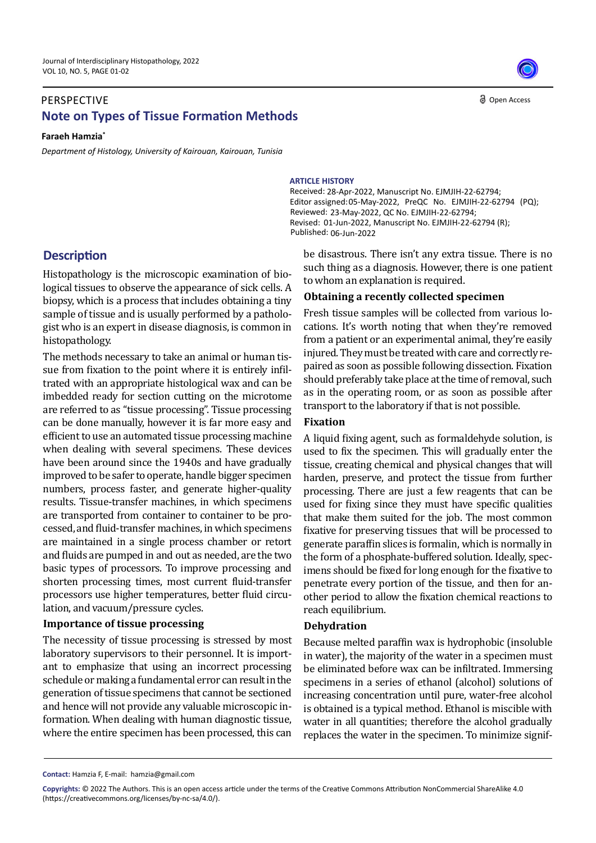## **Note on Types of Tissue Formation Methods** PERSPECTIVE

#### **Faraeh Hamzia\***

*Department of Histology, University of Kairouan, Kairouan, Tunisia*



#### **ARTICLE HISTORY**

Received: 28-Apr-2022, Manuscript No. EJMJIH-22-62794; Editor assigned: 05-May-2022, PreQC No. EJMJIH-22-62794 (PQ); 23-May-2022, QC No. EJMJIH-22-62794; Reviewed: Revised: 01-Jun-2022, Manuscript No. EJMJIH-22-62794 (R); Published: 06-Jun-2022

# **Description**

Histopathology is the microscopic examination of biological tissues to observe the appearance of sick cells. A biopsy, which is a process that includes obtaining a tiny sample of tissue and is usually performed by a pathologist who is an expert in disease diagnosis, is common in histopathology.

The methods necessary to take an animal or human tissue from fixation to the point where it is entirely infiltrated with an appropriate histological wax and can be imbedded ready for section cutting on the microtome are referred to as "tissue processing". Tissue processing can be done manually, however it is far more easy and efficient to use an automated tissue processing machine when dealing with several specimens. These devices have been around since the 1940s and have gradually improved to be safer to operate, handle bigger specimen numbers, process faster, and generate higher-quality results. Tissue-transfer machines, in which specimens are transported from container to container to be processed, and fluid-transfer machines, in which specimens are maintained in a single process chamber or retort and fluids are pumped in and out as needed, are the two basic types of processors. To improve processing and shorten processing times, most current fluid-transfer processors use higher temperatures, better fluid circulation, and vacuum/pressure cycles.

#### **Importance of tissue processing**

The necessity of tissue processing is stressed by most laboratory supervisors to their personnel. It is important to emphasize that using an incorrect processing schedule or making a fundamental error can result in the generation of tissue specimens that cannot be sectioned and hence will not provide any valuable microscopic information. When dealing with human diagnostic tissue, where the entire specimen has been processed, this can be disastrous. There isn't any extra tissue. There is no such thing as a diagnosis. However, there is one patient to whom an explanation is required.

#### **Obtaining a recently collected specimen**

Fresh tissue samples will be collected from various locations. It's worth noting that when they're removed from a patient or an experimental animal, they're easily injured. They must be treated with care and correctly repaired as soon as possible following dissection. Fixation should preferably take place at the time of removal, such as in the operating room, or as soon as possible after transport to the laboratory if that is not possible.

## **Fixation**

A liquid fixing agent, such as formaldehyde solution, is used to fix the specimen. This will gradually enter the tissue, creating chemical and physical changes that will harden, preserve, and protect the tissue from further processing. There are just a few reagents that can be used for fixing since they must have specific qualities that make them suited for the job. The most common fixative for preserving tissues that will be processed to generate paraffin slices is formalin, which is normally in the form of a phosphate-buffered solution. Ideally, specimens should be fixed for long enough for the fixative to penetrate every portion of the tissue, and then for another period to allow the fixation chemical reactions to reach equilibrium.

#### **Dehydration**

Because melted paraffin wax is hydrophobic (insoluble in water), the majority of the water in a specimen must be eliminated before wax can be infiltrated. Immersing specimens in a series of ethanol (alcohol) solutions of increasing concentration until pure, water-free alcohol is obtained is a typical method. Ethanol is miscible with water in all quantities; therefore the alcohol gradually replaces the water in the specimen. To minimize signif-

**Contact:** Hamzia F, E-mail: hamzia@gmail.com

**Copyrights:** © 2022 The Authors. This is an open access article under the terms of the Creative Commons Attribution NonCommercial ShareAlike 4.0 (https://creativecommons.org/licenses/by-nc-sa/4.0/).